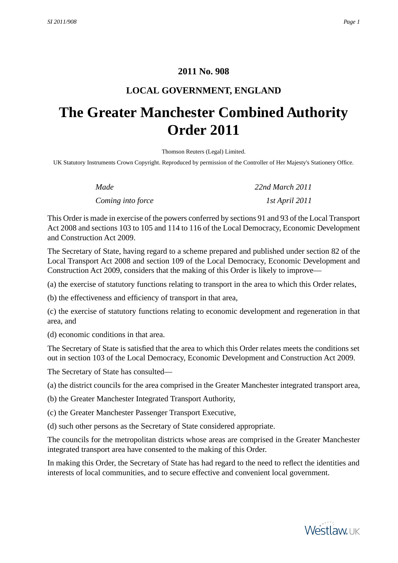# **2011 No. 908**

# **LOCAL GOVERNMENT, ENGLAND**

# <span id="page-0-1"></span><span id="page-0-0"></span>**The Greater Manchester Combined Authority Order 2011**

Thomson Reuters (Legal) Limited.

UK Statutory Instruments Crown Copyright. Reproduced by permission of the Controller of Her Majesty's Stationery Office.

| Made              | 22nd March 2011 |
|-------------------|-----------------|
| Coming into force | 1st April 2011  |

This Order is made in exercise of the powers conferred by sections 91 and 93 of the Local Transport Act 2008 and sections 103 to 105 and 114 to 116 of the Local Democracy, Economic Development and Construction Act 2009.

The Secretary of State, having regard to a scheme prepared and published under section 82 of the Local Transport Act 2008 and section 109 of the Local Democracy, Economic Development and Construction Act 2009, considers that the making of this Order is likely to improve—

(a) the exercise of statutory functions relating to transport in the area to which this Order relates,

(b) the effectiveness and efficiency of transport in that area,

(c) the exercise of statutory functions relating to economic development and regeneration in that area, and

(d) economic conditions in that area.

The Secretary of State is satisfied that the area to which this Order relates meets the conditions set out in section 103 of the Local Democracy, Economic Development and Construction Act 2009.

The Secretary of State has consulted—

- (a) the district councils for the area comprised in the Greater Manchester integrated transport area,
- (b) the Greater Manchester Integrated Transport Authority,
- (c) the Greater Manchester Passenger Transport Executive,
- (d) such other persons as the Secretary of State considered appropriate.

The councils for the metropolitan districts whose areas are comprised in the Greater Manchester integrated transport area have consented to the making of this Order.

In making this Order, the Secretary of State has had regard to the need to reflect the identities and interests of local communities, and to secure effective and convenient local government.

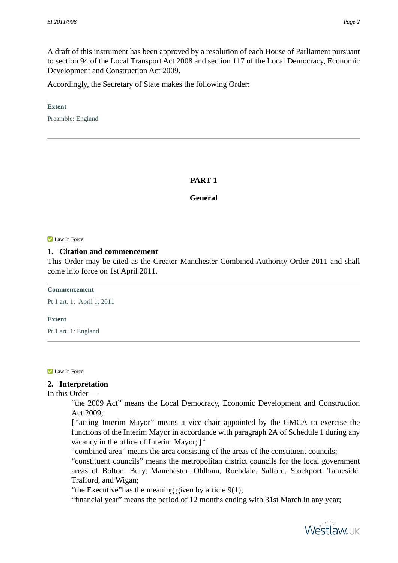A draft of this instrument has been approved by a resolution of each House of Parliament pursuant to section 94 of the Local Transport Act 2008 and section 117 of the Local Democracy, Economic Development and Construction Act 2009.

Accordingly, the Secretary of State makes the following Order:

#### **Extent**

<span id="page-1-0"></span>Preamble: England

## **PART 1**

## **General**

#### <span id="page-1-1"></span>Law In Force

## **1. Citation and commencement**

This Order may be cited as the Greater Manchester Combined Authority Order 2011 and shall come into force on 1st April 2011.

#### **Commencement**

Pt 1 art. 1: April 1, 2011

#### <span id="page-1-2"></span>**Extent**

Pt 1 art. 1: England

**Law In Force** 

## **2. Interpretation**

In this Order—

"the 2009 Act" means the Local Democracy, Economic Development and Construction Act 2009;

**[** "acting Interim Mayor" means a vice-chair appointed by the GMCA to exercise the functions of the Interim Mayor in accordance with paragraph 2A of Schedule 1 during any vacancy in the office of Interim Mayor; **] 1**

"combined area" means the area consisting of the areas of the constituent councils;

"constituent councils" means the metropolitan district councils for the local government areas of Bolton, Bury, Manchester, Oldham, Rochdale, Salford, Stockport, Tameside, Trafford, and Wigan;

"the Executive"has the meaning given by article 9(1);

"financial year" means the period of 12 months ending with 31st March in any year;

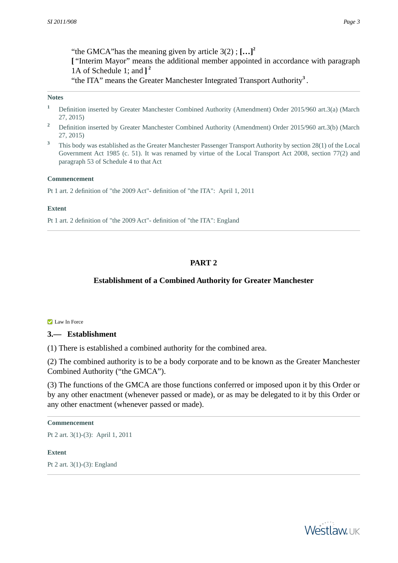"the GMCA"has the meaning given by article 3(2) ; **[…]<sup>2</sup> [** "Interim Mayor" means the additional member appointed in accordance with paragraph 1A of Schedule 1; and **] 2** "the ITA" means the Greater Manchester Integrated Transport Authority**<sup>3</sup>** .

#### **Notes**

- **<sup>1</sup>** Definition inserted by Greater Manchester Combined Authority (Amendment) Order 2015/960 art.3(a) (March 27, 2015)
- <sup>2</sup> Definition inserted by Greater Manchester Combined Authority (Amendment) Order 2015/960 art.3(b) (March 27, 2015)
- <sup>3</sup> This body was established as the Greater Manchester Passenger Transport Authority by section 28(1) of the Local Government Act 1985 (c. 51). It was renamed by virtue of the Local Transport Act 2008, section 77(2) and paragraph 53 of Schedule 4 to that Act

#### **Commencement**

Pt 1 art. 2 definition of "the 2009 Act"- definition of "the ITA": April 1, 2011

#### <span id="page-2-0"></span>**Extent**

<span id="page-2-1"></span>Pt 1 art. 2 definition of "the 2009 Act"- definition of "the ITA": England

# **PART 2**

## **Establishment of a Combined Authority for Greater Manchester**

#### Law In Force

#### **3.— Establishment**

(1) There is established a combined authority for the combined area.

(2) The combined authority is to be a body corporate and to be known as the Greater Manchester Combined Authority ("the GMCA").

(3) The functions of the GMCA are those functions conferred or imposed upon it by this Order or by any other enactment (whenever passed or made), or as may be delegated to it by this Order or any other enactment (whenever passed or made).

## **Commencement**

<span id="page-2-2"></span>Pt 2 art. 3(1)-(3): April 1, 2011

#### **Extent**

Pt 2 art. 3(1)-(3): England

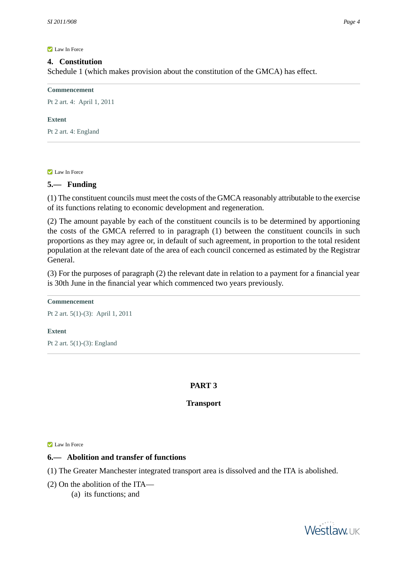## **4. Constitution**

Schedule 1 (which makes provision about the constitution of the GMCA) has effect.

**Commencement**

Pt 2 art. 4: April 1, 2011

#### **Extent**

<span id="page-3-0"></span>Pt 2 art. 4: England

**Law In Force** 

## **5.— Funding**

(1) The constituent councils must meet the costs of the GMCA reasonably attributable to the exercise of its functions relating to economic development and regeneration.

(2) The amount payable by each of the constituent councils is to be determined by apportioning the costs of the GMCA referred to in paragraph (1) between the constituent councils in such proportions as they may agree or, in default of such agreement, in proportion to the total resident population at the relevant date of the area of each council concerned as estimated by the Registrar General.

(3) For the purposes of paragraph (2) the relevant date in relation to a payment for a financial year is 30th June in the financial year which commenced two years previously.

#### **Commencement**

Pt 2 art. 5(1)-(3): April 1, 2011

#### <span id="page-3-1"></span>**Extent**

<span id="page-3-2"></span>Pt 2 art. 5(1)-(3): England

## **PART 3**

## **Transport**

**Z** Law In Force

## **6.— Abolition and transfer of functions**

(1) The Greater Manchester integrated transport area is dissolved and the ITA is abolished.

(2) On the abolition of the ITA—

(a) its functions; and

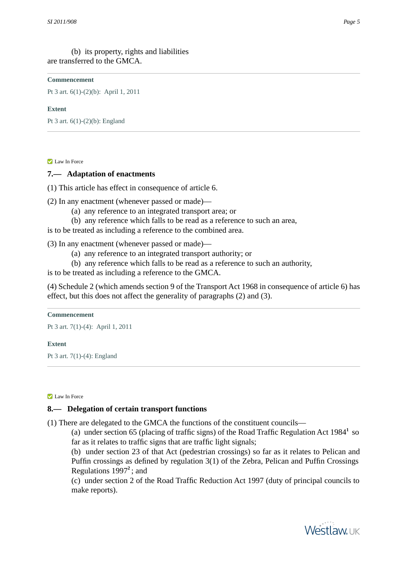Pt 3 art. 6(1)-(2)(b): April 1, 2011

#### **Extent**

<span id="page-4-0"></span>Pt 3 art. 6(1)-(2)(b): England

#### **Law In Force**

## **7.— Adaptation of enactments**

(1) This article has effect in consequence of article 6.

(2) In any enactment (whenever passed or made)—

- (a) any reference to an integrated transport area; or
- (b) any reference which falls to be read as a reference to such an area,

is to be treated as including a reference to the combined area.

(3) In any enactment (whenever passed or made)—

- (a) any reference to an integrated transport authority; or
- (b) any reference which falls to be read as a reference to such an authority,

is to be treated as including a reference to the GMCA.

(4) Schedule 2 (which amends section 9 of the Transport Act 1968 in consequence of article 6) has effect, but this does not affect the generality of paragraphs (2) and (3).

#### **Commencement**

Pt 3 art. 7(1)-(4): April 1, 2011

#### <span id="page-4-1"></span>**Extent**

Pt 3 art. 7(1)-(4): England

**Z** Law In Force

## **8.— Delegation of certain transport functions**

(1) There are delegated to the GMCA the functions of the constituent councils—

(a) under section 65 (placing of traffic signs) of the Road Traffic Regulation Act 1984<sup>1</sup> so far as it relates to traffic signs that are traffic light signals;

(b) under section 23 of that Act (pedestrian crossings) so far as it relates to Pelican and Puffin crossings as defined by regulation 3(1) of the Zebra, Pelican and Puffin Crossings Regulations 1997**<sup>2</sup>** ; and

(c) under section 2 of the Road Traffic Reduction Act 1997 (duty of principal councils to make reports).

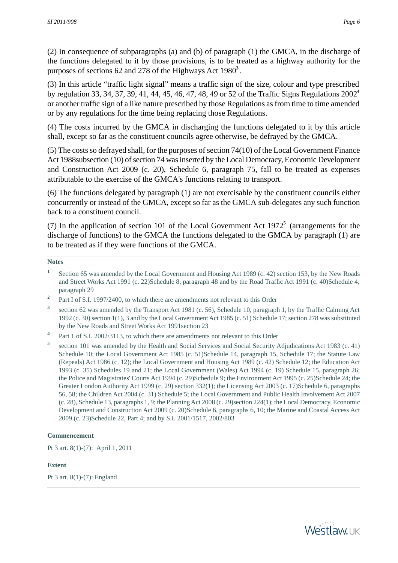(2) In consequence of subparagraphs (a) and (b) of paragraph (1) the GMCA, in the discharge of the functions delegated to it by those provisions, is to be treated as a highway authority for the purposes of sections 62 and 278 of the Highways Act 1980**<sup>3</sup>** .

(3) In this article "traffic light signal" means a traffic sign of the size, colour and type prescribed by regulation 33, 34, 37, 39, 41, 44, 45, 46, 47, 48, 49 or 52 of the Traffic Signs Regulations 2002**<sup>4</sup>** or another traffic sign of a like nature prescribed by those Regulations as from time to time amended or by any regulations for the time being replacing those Regulations.

(4) The costs incurred by the GMCA in discharging the functions delegated to it by this article shall, except so far as the constituent councils agree otherwise, be defrayed by the GMCA.

(5) The costs so defrayed shall, for the purposes of section 74(10) of the Local Government Finance Act 1988subsection (10) of section 74 was inserted by the Local Democracy, Economic Development and Construction Act 2009 (c. 20), Schedule 6, paragraph 75, fall to be treated as expenses attributable to the exercise of the GMCA's functions relating to transport.

(6) The functions delegated by paragraph (1) are not exercisable by the constituent councils either concurrently or instead of the GMCA, except so far as the GMCA sub-delegates any such function back to a constituent council.

(7) In the application of section 101 of the Local Government Act 1972**<sup>5</sup>** (arrangements for the discharge of functions) to the GMCA the functions delegated to the GMCA by paragraph (1) are to be treated as if they were functions of the GMCA.

#### **Notes**

- **1** Section 65 was amended by the Local Government and Housing Act 1989 (c. 42) section 153, by the New Roads and Street Works Act 1991 (c. 22)Schedule 8, paragraph 48 and by the Road Traffic Act 1991 (c. 40)Schedule 4, paragraph 29
- **2** Part I of S.I. 1997/2400, to which there are amendments not relevant to this Order
- **3** section 62 was amended by the Transport Act 1981 (c. 56), Schedule 10, paragraph 1, by the Traffic Calming Act 1992 (c. 30) section 1(1), 3 and by the Local Government Act 1985 (c. 51) Schedule 17; section 278 was substituted by the New Roads and Street Works Act 1991section 23
- **4** Part 1 of S.I. 2002/3113, to which there are amendments not relevant to this Order
- **5** section 101 was amended by the Health and Social Services and Social Security Adjudications Act 1983 (c. 41) Schedule 10; the Local Government Act 1985 (c. 51)Schedule 14, paragraph 15, Schedule 17; the Statute Law (Repeals) Act 1986 (c. 12); the Local Government and Housing Act 1989 (c. 42) Schedule 12; the Education Act 1993 (c. 35) Schedules 19 and 21; the Local Government (Wales) Act 1994 (c. 19) Schedule 15, paragraph 26; the Police and Magistrates' Courts Act 1994 (c. 29)Schedule 9; the Environment Act 1995 (c. 25)Schedule 24; the Greater London Authority Act 1999 (c. 29) section 332(1); the Licensing Act 2003 (c. 17)Schedule 6, paragraphs 56, 58; the Children Act 2004 (c. 31) Schedule 5; the Local Government and Public Health Involvement Act 2007 (c. 28), Schedule 13, paragraphs 1, 9; the Planning Act 2008 (c. 29)section 224(1); the Local Democracy, Economic Development and Construction Act 2009 (c. 20)Schedule 6, paragraphs 6, 10; the Marine and Coastal Access Act 2009 (c. 23)Schedule 22, Part 4; and by S.I. 2001/1517, 2002/803

#### **Commencement**

<span id="page-5-0"></span>Pt 3 art. 8(1)-(7): April 1, 2011

#### **Extent**

Pt 3 art. 8(1)-(7): England

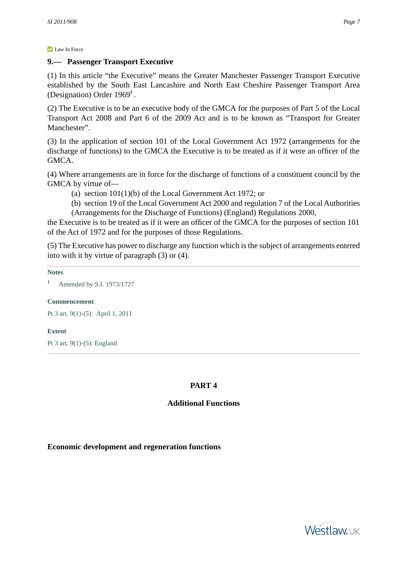## **9.— Passenger Transport Executive**

(1) In this article "the Executive" means the Greater Manchester Passenger Transport Executive established by the South East Lancashire and North East Cheshire Passenger Transport Area (Designation) Order 1969**<sup>1</sup>** .

(2) The Executive is to be an executive body of the GMCA for the purposes of Part 5 of the Local Transport Act 2008 and Part 6 of the 2009 Act and is to be known as "Transport for Greater Manchester".

(3) In the application of section 101 of the Local Government Act 1972 (arrangements for the discharge of functions) to the GMCA the Executive is to be treated as if it were an officer of the GMCA.

(4) Where arrangements are in force for the discharge of functions of a constituent council by the GMCA by virtue of—

- (a) section 101(1)(b) of the Local Government Act 1972; or
- (b) section 19 of the Local Government Act 2000 and regulation 7 of the Local Authorities (Arrangements for the Discharge of Functions) (England) Regulations 2000,

the Executive is to be treated as if it were an officer of the GMCA for the purposes of section 101 of the Act of 1972 and for the purposes of those Regulations.

(5) The Executive has power to discharge any function which is the subject of arrangements entered into with it by virtue of paragraph (3) or (4).

## **Notes**

**<sup>1</sup>** Amended by S.I. 1973/1727

## **Commencement**

Pt 3 art. 9(1)-(5): April 1, 2011

## <span id="page-6-0"></span>**Extent**

<span id="page-6-1"></span>Pt 3 art. 9(1)-(5): England

## **PART 4**

# **Additional Functions**

## <span id="page-6-2"></span>**Economic development and regeneration functions**

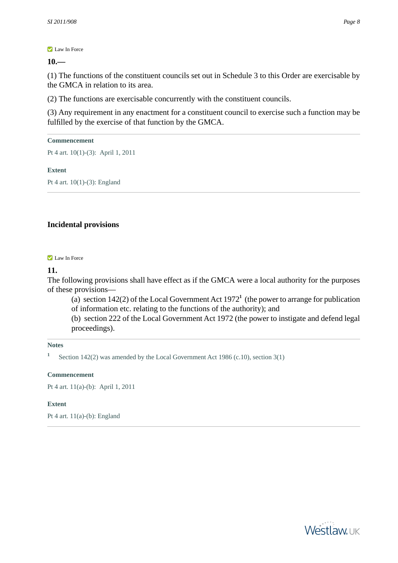**10.—** 

(1) The functions of the constituent councils set out in Schedule 3 to this Order are exercisable by the GMCA in relation to its area.

(2) The functions are exercisable concurrently with the constituent councils.

(3) Any requirement in any enactment for a constituent council to exercise such a function may be fulfilled by the exercise of that function by the GMCA.

### **Commencement**

Pt 4 art. 10(1)-(3): April 1, 2011

#### **Extent**

<span id="page-7-0"></span>Pt 4 art. 10(1)-(3): England

## <span id="page-7-1"></span>**Incidental provisions**

#### **Law In Force**

## **11.**

The following provisions shall have effect as if the GMCA were a local authority for the purposes of these provisions—

(a) section  $142(2)$  of the Local Government Act  $1972<sup>1</sup>$  (the power to arrange for publication of information etc. relating to the functions of the authority); and

(b) section 222 of the Local Government Act 1972 (the power to instigate and defend legal proceedings).

#### **Notes**

**1** Section 142(2) was amended by the Local Government Act 1986 (c.10), section 3(1)

#### **Commencement**

<span id="page-7-2"></span>Pt 4 art. 11(a)-(b): April 1, 2011

#### **Extent**

Pt 4 art. 11(a)-(b): England

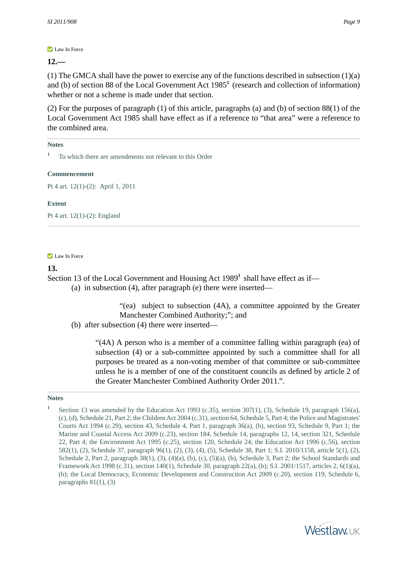**12.—** 

(1) The GMCA shall have the power to exercise any of the functions described in subsection (1)(a) and (b) of section 88 of the Local Government Act 1985**<sup>1</sup>** (research and collection of information) whether or not a scheme is made under that section.

(2) For the purposes of paragraph (1) of this article, paragraphs (a) and (b) of section 88(1) of the Local Government Act 1985 shall have effect as if a reference to "that area" were a reference to the combined area.

#### **Notes**

**<sup>1</sup>** To which there are amendments not relevant to this Order

#### **Commencement**

Pt 4 art. 12(1)-(2): April 1, 2011

#### <span id="page-8-0"></span>**Extent**

Pt 4 art. 12(1)-(2): England

#### **Law In Force**

## **13.**

Section 13 of the Local Government and Housing Act 1989<sup>1</sup> shall have effect as if—

(a) in subsection (4), after paragraph (e) there were inserted—

"(ea) subject to subsection (4A), a committee appointed by the Greater Manchester Combined Authority;"; and

(b) after subsection (4) there were inserted—

"(4A) A person who is a member of a committee falling within paragraph (ea) of subsection (4) or a sub-committee appointed by such a committee shall for all purposes be treated as a non-voting member of that committee or sub-committee unless he is a member of one of the constituent councils as defined by article 2 of the Greater Manchester Combined Authority Order 2011.".

#### **Notes**



**<sup>1</sup>** Section 13 was amended by the Education Act 1993 (c.35), section 307(1), (3), Schedule 19, paragraph 156(a), (c), (d), Schedule 21, Part 2; the Children Act 2004 (c.31), section 64, Schedule 5, Part 4; the Police and Magistrates' Courts Act 1994 (c.29), section 43, Schedule 4, Part 1, paragraph 36(a), (b), section 93, Schedule 9, Part 1; the Marine and Coastal Access Act 2009 (c.23), section 184, Schedule 14, paragraphs 12, 14, section 321, Schedule 22, Part 4; the Environment Act 1995 (c.25), section 120, Schedule 24; the Education Act 1996 (c.56), section 582(1), (2), Schedule 37, paragraph 96(1), (2), (3), (4), (5), Schedule 38, Part 1; S.I. 2010/1158, article 5(1), (2), Schedule 2, Part 2, paragraph  $38(1)$ ,  $(3)$ ,  $(4)(a)$ ,  $(b)$ ,  $(c)$ ,  $(5)(a)$ ,  $(b)$ , Schedule 3, Part 2; the School Standards and Framework Act 1998 (c.31), section 140(1), Schedule 30, paragraph 22(a), (b); S.I. 2001/1517, articles 2, 6(1)(a), (b); the Local Democracy, Economic Development and Construction Act 2009 (c.20), section 119, Schedule 6, paragraphs  $81(1)$ ,  $(3)$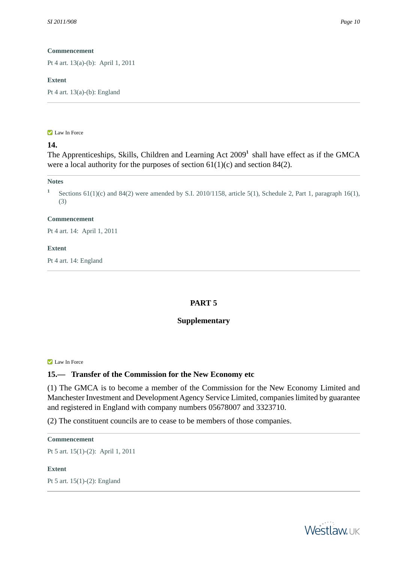Pt 4 art. 13(a)-(b): April 1, 2011

## **Extent**

<span id="page-9-0"></span>Pt 4 art. 13(a)-(b): England

#### **Law In Force**

# **14.**

The Apprenticeships, Skills, Children and Learning Act 2009<sup>1</sup> shall have effect as if the GMCA were a local authority for the purposes of section  $61(1)(c)$  and section 84(2).

#### **Notes**

**1** Sections 61(1)(c) and 84(2) were amended by S.I. 2010/1158, article 5(1), Schedule 2, Part 1, paragraph 16(1), (3)

## **Commencement**

Pt 4 art. 14: April 1, 2011

## <span id="page-9-1"></span>**Extent**

<span id="page-9-2"></span>Pt 4 art. 14: England

## **PART 5**

## **Supplementary**

**Law In Force** 

## **15.— Transfer of the Commission for the New Economy etc**

(1) The GMCA is to become a member of the Commission for the New Economy Limited and Manchester Investment and Development Agency Service Limited, companies limited by guarantee and registered in England with company numbers 05678007 and 3323710.

(2) The constituent councils are to cease to be members of those companies.

#### **Commencement**

<span id="page-9-3"></span>Pt 5 art. 15(1)-(2): April 1, 2011

#### **Extent**

Pt 5 art. 15(1)-(2): England

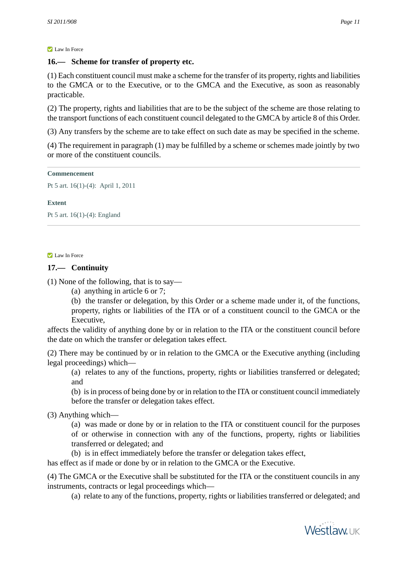# **16.— Scheme for transfer of property etc.**

(1) Each constituent council must make a scheme for the transfer of its property, rights and liabilities to the GMCA or to the Executive, or to the GMCA and the Executive, as soon as reasonably practicable.

(2) The property, rights and liabilities that are to be the subject of the scheme are those relating to the transport functions of each constituent council delegated to the GMCA by article 8 of this Order.

(3) Any transfers by the scheme are to take effect on such date as may be specified in the scheme.

(4) The requirement in paragraph (1) may be fulfilled by a scheme or schemes made jointly by two or more of the constituent councils.

## **Commencement**

Pt 5 art. 16(1)-(4): April 1, 2011

## **Extent**

<span id="page-10-0"></span>Pt 5 art. 16(1)-(4): England

**Law In Force** 

# **17.— Continuity**

(1) None of the following, that is to say—

(a) anything in article 6 or 7;

(b) the transfer or delegation, by this Order or a scheme made under it, of the functions, property, rights or liabilities of the ITA or of a constituent council to the GMCA or the Executive,

affects the validity of anything done by or in relation to the ITA or the constituent council before the date on which the transfer or delegation takes effect.

(2) There may be continued by or in relation to the GMCA or the Executive anything (including legal proceedings) which—

(a) relates to any of the functions, property, rights or liabilities transferred or delegated; and

(b) is in process of being done by or in relation to the ITA or constituent council immediately before the transfer or delegation takes effect.

(3) Anything which—

(a) was made or done by or in relation to the ITA or constituent council for the purposes of or otherwise in connection with any of the functions, property, rights or liabilities transferred or delegated; and

(b) is in effect immediately before the transfer or delegation takes effect,

has effect as if made or done by or in relation to the GMCA or the Executive.

(4) The GMCA or the Executive shall be substituted for the ITA or the constituent councils in any instruments, contracts or legal proceedings which—

(a) relate to any of the functions, property, rights or liabilities transferred or delegated; and

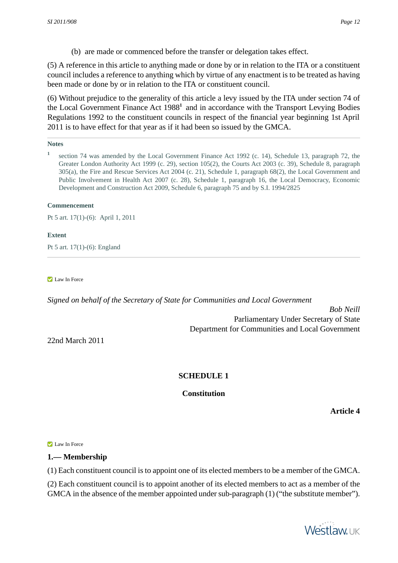(b) are made or commenced before the transfer or delegation takes effect.

(5) A reference in this article to anything made or done by or in relation to the ITA or a constituent council includes a reference to anything which by virtue of any enactment is to be treated as having been made or done by or in relation to the ITA or constituent council.

(6) Without prejudice to the generality of this article a levy issued by the ITA under section 74 of the Local Government Finance Act 1988<sup>1</sup> and in accordance with the Transport Levying Bodies Regulations 1992 to the constituent councils in respect of the financial year beginning 1st April 2011 is to have effect for that year as if it had been so issued by the GMCA.

## **Notes**

**1** section 74 was amended by the Local Government Finance Act 1992 (c. 14), Schedule 13, paragraph 72, the Greater London Authority Act 1999 (c. 29), section 105(2), the Courts Act 2003 (c. 39), Schedule 8, paragraph 305(a), the Fire and Rescue Services Act 2004 (c. 21), Schedule 1, paragraph 68(2), the Local Government and Public Involvement in Health Act 2007 (c. 28), Schedule 1, paragraph 16, the Local Democracy, Economic Development and Construction Act 2009, Schedule 6, paragraph 75 and by S.I. 1994/2825

#### **Commencement**

Pt 5 art. 17(1)-(6): April 1, 2011

#### <span id="page-11-0"></span>**Extent**

Pt 5 art. 17(1)-(6): England

**Law In Force** 

<span id="page-11-1"></span>*Signed on behalf of the Secretary of State for Communities and Local Government*

*Bob Neill* Parliamentary Under Secretary of State Department for Communities and Local Government

<span id="page-11-2"></span>22nd March 2011

# **SCHEDULE 1**

## **Constitution**

**Article 4**

**Law In Force** 

## **1.— Membership**

(1) Each constituent council is to appoint one of its elected members to be a member of the GMCA.

(2) Each constituent council is to appoint another of its elected members to act as a member of the GMCA in the absence of the member appointed under sub-paragraph (1) ("the substitute member").

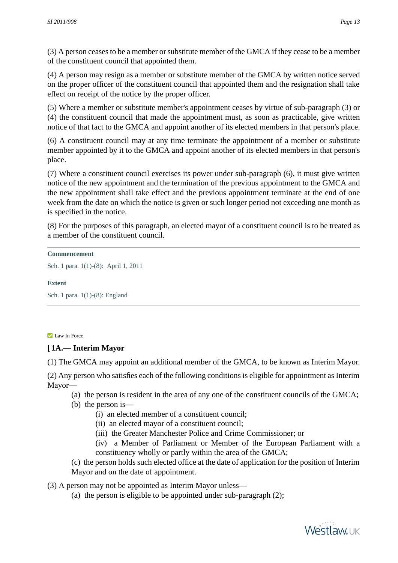(3) A person ceases to be a member or substitute member of the GMCA if they cease to be a member of the constituent council that appointed them.

(4) A person may resign as a member or substitute member of the GMCA by written notice served on the proper officer of the constituent council that appointed them and the resignation shall take effect on receipt of the notice by the proper officer.

(5) Where a member or substitute member's appointment ceases by virtue of sub-paragraph (3) or (4) the constituent council that made the appointment must, as soon as practicable, give written notice of that fact to the GMCA and appoint another of its elected members in that person's place.

(6) A constituent council may at any time terminate the appointment of a member or substitute member appointed by it to the GMCA and appoint another of its elected members in that person's place.

(7) Where a constituent council exercises its power under sub-paragraph (6), it must give written notice of the new appointment and the termination of the previous appointment to the GMCA and the new appointment shall take effect and the previous appointment terminate at the end of one week from the date on which the notice is given or such longer period not exceeding one month as is specified in the notice.

(8) For the purposes of this paragraph, an elected mayor of a constituent council is to be treated as a member of the constituent council.

#### **Commencement**

Sch. 1 para. 1(1)-(8): April 1, 2011

## <span id="page-12-0"></span>**Extent**

Sch. 1 para. 1(1)-(8): England

#### Law In Force

## **[ 1A.— Interim Mayor**

(1) The GMCA may appoint an additional member of the GMCA, to be known as Interim Mayor.

(2) Any person who satisfies each of the following conditions is eligible for appointment as Interim Mayor—

(a) the person is resident in the area of any one of the constituent councils of the GMCA;

- (b) the person is—
	- (i) an elected member of a constituent council;
	- (ii) an elected mayor of a constituent council;
	- (iii) the Greater Manchester Police and Crime Commissioner; or
	- (iv) a Member of Parliament or Member of the European Parliament with a constituency wholly or partly within the area of the GMCA;

(c) the person holds such elected office at the date of application for the position of Interim Mayor and on the date of appointment.

(3) A person may not be appointed as Interim Mayor unless—

(a) the person is eligible to be appointed under sub-paragraph (2);

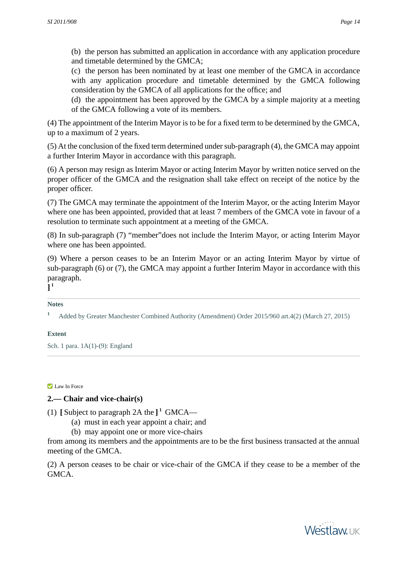(b) the person has submitted an application in accordance with any application procedure and timetable determined by the GMCA;

(c) the person has been nominated by at least one member of the GMCA in accordance with any application procedure and timetable determined by the GMCA following consideration by the GMCA of all applications for the office; and

(d) the appointment has been approved by the GMCA by a simple majority at a meeting of the GMCA following a vote of its members.

(4) The appointment of the Interim Mayor is to be for a fixed term to be determined by the GMCA, up to a maximum of 2 years.

(5) At the conclusion of the fixed term determined under sub-paragraph (4), the GMCA may appoint a further Interim Mayor in accordance with this paragraph.

(6) A person may resign as Interim Mayor or acting Interim Mayor by written notice served on the proper officer of the GMCA and the resignation shall take effect on receipt of the notice by the proper officer.

(7) The GMCA may terminate the appointment of the Interim Mayor, or the acting Interim Mayor where one has been appointed, provided that at least 7 members of the GMCA vote in favour of a resolution to terminate such appointment at a meeting of the GMCA.

(8) In sub-paragraph (7) "member"does not include the Interim Mayor, or acting Interim Mayor where one has been appointed.

(9) Where a person ceases to be an Interim Mayor or an acting Interim Mayor by virtue of sub-paragraph (6) or (7), the GMCA may appoint a further Interim Mayor in accordance with this paragraph.

**] 1**

#### **Notes**

**<sup>1</sup>** Added by Greater Manchester Combined Authority (Amendment) Order 2015/960 art.4(2) (March 27, 2015)

## <span id="page-13-0"></span>**Extent**

Sch. 1 para. 1A(1)-(9): England

#### **Law In Force**

# **2.— Chair and vice-chair(s)**

(1)  $\left[\text{Subject to paragraph 2A the}\right]$ <sup>1</sup> GMCA—

- (a) must in each year appoint a chair; and
- (b) may appoint one or more vice-chairs

from among its members and the appointments are to be the first business transacted at the annual meeting of the GMCA.

(2) A person ceases to be chair or vice-chair of the GMCA if they cease to be a member of the GMCA.

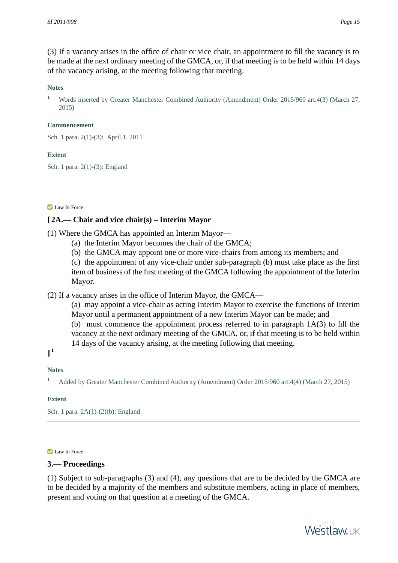(3) If a vacancy arises in the office of chair or vice chair, an appointment to fill the vacancy is to be made at the next ordinary meeting of the GMCA, or, if that meeting is to be held within 14 days of the vacancy arising, at the meeting following that meeting.

#### **Notes**

<sup>1</sup> Words inserted by Greater Manchester Combined Authority (Amendment) Order 2015/960 art.4(3) (March 27, 2015)

#### **Commencement**

Sch. 1 para. 2(1)-(3): April 1, 2011

#### **Extent**

<span id="page-14-0"></span>Sch. 1 para. 2(1)-(3): England

#### **Law In Force**

## **[ 2A.— Chair and vice chair(s) – Interim Mayor**

- (1) Where the GMCA has appointed an Interim Mayor—
	- (a) the Interim Mayor becomes the chair of the GMCA;
	- (b) the GMCA may appoint one or more vice-chairs from among its members; and
	- (c) the appointment of any vice-chair under sub-paragraph (b) must take place as the first item of business of the first meeting of the GMCA following the appointment of the Interim Mayor.
- (2) If a vacancy arises in the office of Interim Mayor, the GMCA—
	- (a) may appoint a vice-chair as acting Interim Mayor to exercise the functions of Interim Mayor until a permanent appointment of a new Interim Mayor can be made; and
	- (b) must commence the appointment process referred to in paragraph 1A(3) to fill the vacancy at the next ordinary meeting of the GMCA, or, if that meeting is to be held within 14 days of the vacancy arising, at the meeting following that meeting.

**] 1**

#### **Notes**

<span id="page-14-1"></span>**<sup>1</sup>** Added by Greater Manchester Combined Authority (Amendment) Order 2015/960 art.4(4) (March 27, 2015)

#### **Extent**

Sch. 1 para. 2A(1)-(2)(b): England

#### Law In Force

#### **3.— Proceedings**

(1) Subject to sub-paragraphs (3) and (4), any questions that are to be decided by the GMCA are to be decided by a majority of the members and substitute members, acting in place of members, present and voting on that question at a meeting of the GMCA.



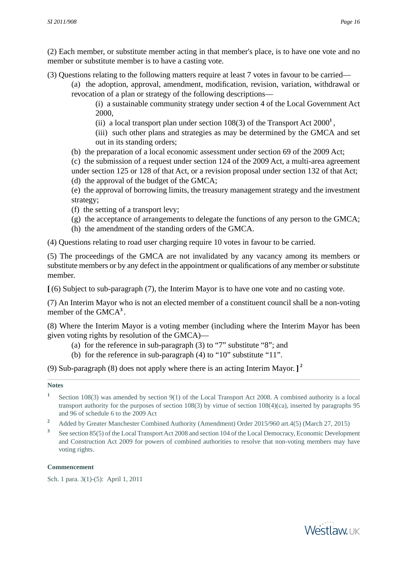(2) Each member, or substitute member acting in that member's place, is to have one vote and no member or substitute member is to have a casting vote.

(3) Questions relating to the following matters require at least 7 votes in favour to be carried—

(a) the adoption, approval, amendment, modification, revision, variation, withdrawal or revocation of a plan or strategy of the following descriptions—

(i) a sustainable community strategy under section 4 of the Local Government Act 2000,

- (ii) a local transport plan under section 108(3) of the Transport Act 2000**<sup>1</sup>** ,
- (iii) such other plans and strategies as may be determined by the GMCA and set out in its standing orders;
- (b) the preparation of a local economic assessment under section 69 of the 2009 Act;

(c) the submission of a request under section 124 of the 2009 Act, a multi-area agreement under section 125 or 128 of that Act, or a revision proposal under section 132 of that Act;

(d) the approval of the budget of the GMCA;

(e) the approval of borrowing limits, the treasury management strategy and the investment strategy;

- (f) the setting of a transport levy;
- (g) the acceptance of arrangements to delegate the functions of any person to the GMCA;
- (h) the amendment of the standing orders of the GMCA.

(4) Questions relating to road user charging require 10 votes in favour to be carried.

(5) The proceedings of the GMCA are not invalidated by any vacancy among its members or substitute members or by any defect in the appointment or qualifications of any member or substitute member.

**[** (6) Subject to sub-paragraph (7), the Interim Mayor is to have one vote and no casting vote.

(7) An Interim Mayor who is not an elected member of a constituent council shall be a non-voting member of the GMCA**<sup>3</sup>** .

(8) Where the Interim Mayor is a voting member (including where the Interim Mayor has been given voting rights by resolution of the GMCA)—

- (a) for the reference in sub-paragraph (3) to "7" substitute "8"; and
- (b) for the reference in sub-paragraph (4) to "10" substitute "11".

(9) Sub-paragraph (8) does not apply where there is an acting Interim Mayor. **] 2**

## **Notes**

- **1** Section 108(3) was amended by section 9(1) of the Local Transport Act 2008. A combined authority is a local transport authority for the purposes of section 108(3) by virtue of section 108(4)(ca), inserted by paragraphs 95 and 96 of schedule 6 to the 2009 Act
- <sup>2</sup> Added by Greater Manchester Combined Authority (Amendment) Order 2015/960 art.4(5) (March 27, 2015)
- **3** See section 85(5) of the Local Transport Act 2008 and section 104 of the Local Democracy, Economic Development and Construction Act 2009 for powers of combined authorities to resolve that non-voting members may have voting rights.

## **Commencement**

Sch. 1 para. 3(1)-(5): April 1, 2011

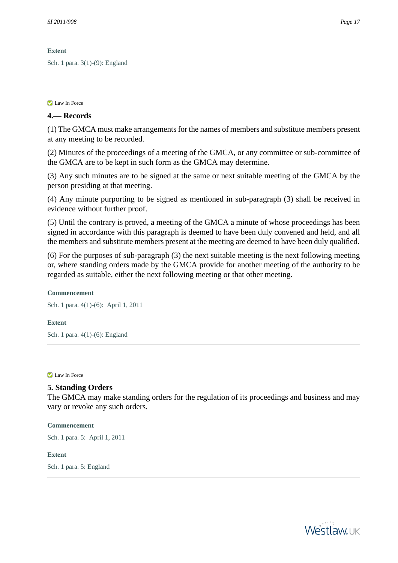## **Extent**

<span id="page-16-0"></span>Sch. 1 para. 3(1)-(9): England

## **Law In Force**

## **4.— Records**

(1) The GMCA must make arrangements for the names of members and substitute members present at any meeting to be recorded.

(2) Minutes of the proceedings of a meeting of the GMCA, or any committee or sub-committee of the GMCA are to be kept in such form as the GMCA may determine.

(3) Any such minutes are to be signed at the same or next suitable meeting of the GMCA by the person presiding at that meeting.

(4) Any minute purporting to be signed as mentioned in sub-paragraph (3) shall be received in evidence without further proof.

(5) Until the contrary is proved, a meeting of the GMCA a minute of whose proceedings has been signed in accordance with this paragraph is deemed to have been duly convened and held, and all the members and substitute members present at the meeting are deemed to have been duly qualified.

(6) For the purposes of sub-paragraph (3) the next suitable meeting is the next following meeting or, where standing orders made by the GMCA provide for another meeting of the authority to be regarded as suitable, either the next following meeting or that other meeting.

## **Commencement**

Sch. 1 para. 4(1)-(6): April 1, 2011

#### <span id="page-16-1"></span>**Extent**

Sch. 1 para. 4(1)-(6): England

#### **Law In Force**

## **5. Standing Orders**

The GMCA may make standing orders for the regulation of its proceedings and business and may vary or revoke any such orders.

**Commencement**

<span id="page-16-2"></span>Sch. 1 para. 5: April 1, 2011

#### **Extent**

Sch. 1 para. 5: England

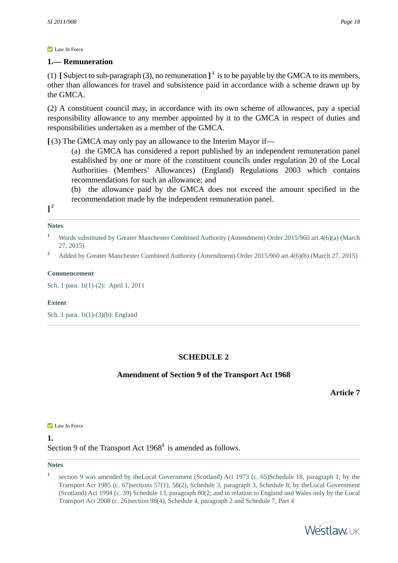# **1.— Remuneration**

(1) [Subject to sub-paragraph (3), no remuneration  $\mathbf{l}^1$  is to be payable by the GMCA to its members, other than allowances for travel and subsistence paid in accordance with a scheme drawn up by the GMCA.

(2) A constituent council may, in accordance with its own scheme of allowances, pay a special responsibility allowance to any member appointed by it to the GMCA in respect of duties and responsibilities undertaken as a member of the GMCA.

**[** (3) The GMCA may only pay an allowance to the Interim Mayor if—

(a) the GMCA has considered a report published by an independent remuneration panel established by one or more of the constituent councils under regulation 20 of the Local Authorities (Members' Allowances) (England) Regulations 2003 which contains recommendations for such an allowance; and

(b) the allowance paid by the GMCA does not exceed the amount specified in the recommendation made by the independent remuneration panel.

**] 2**

## **Notes**

- **<sup>1</sup>** Words substituted by Greater Manchester Combined Authority (Amendment) Order 2015/960 art.4(6)(a) (March 27, 2015)
- <sup>2</sup> Added by Greater Manchester Combined Authority (Amendment) Order 2015/960 art.4(6)(b) (March 27, 2015)

## **Commencement**

Sch. 1 para. 1i(1)-(2): April 1, 2011

## <span id="page-17-0"></span>**Extent**

<span id="page-17-1"></span>Sch. 1 para. 1i(1)-(3)(b): England

# **SCHEDULE 2**

# **Amendment of Section 9 of the Transport Act 1968**

**Article 7**

#### **Law In Force**

**1.**  Section 9 of the Transport Act 1968<sup>1</sup> is amended as follows.

#### **Notes**

**<sup>1</sup>** section 9 was amended by the Local Government (Scotland) Act 1973 (c. 65)Schedule 18, paragraph 1; by the Transport Act 1985 (c. 67)sections 57(1), 58(2), Schedule 3, paragraph 3, Schedule 8; by theLocal Government (Scotland) Act 1994 (c. 39) Schedule 13, paragraph 80(2; and in relation to England and Wales only by the Local Transport Act 2008 (c. 26)section 98(4), Schedule 4, paragraph 2 and Schedule 7, Part 4

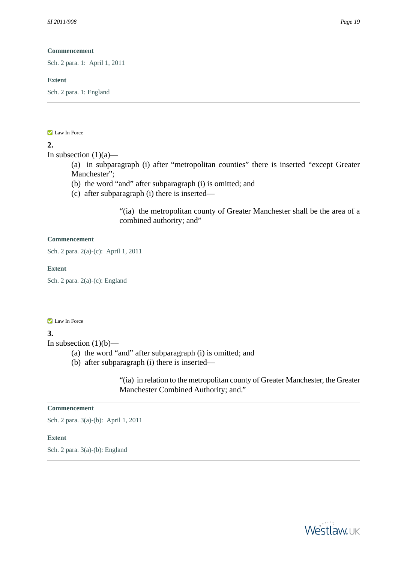Sch. 2 para. 1: April 1, 2011

#### **Extent**

<span id="page-18-0"></span>Sch. 2 para. 1: England

#### **Law In Force**

## **2.**

In subsection  $(1)(a)$ —

(a) in subparagraph (i) after "metropolitan counties" there is inserted "except Greater Manchester";

- (b) the word "and" after subparagraph (i) is omitted; and
- (c) after subparagraph (i) there is inserted—

"(ia) the metropolitan county of Greater Manchester shall be the area of a combined authority; and"

#### **Commencement**

Sch. 2 para. 2(a)-(c): April 1, 2011

#### <span id="page-18-1"></span>**Extent**

Sch. 2 para. 2(a)-(c): England

#### **Law In Force**

#### **3.**

In subsection  $(1)(b)$ —

- (a) the word "and" after subparagraph (i) is omitted; and
- (b) after subparagraph (i) there is inserted—

"(ia) in relation to the metropolitan county of Greater Manchester, the Greater Manchester Combined Authority; and."

### **Commencement**

<span id="page-18-2"></span>Sch. 2 para. 3(a)-(b): April 1, 2011

#### **Extent**

Sch. 2 para. 3(a)-(b): England

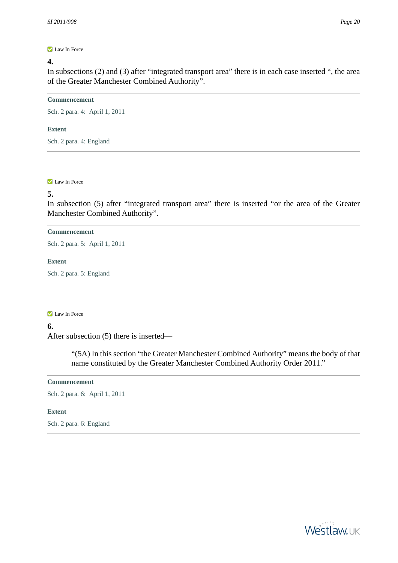## **4.**

In subsections (2) and (3) after "integrated transport area" there is in each case inserted ", the area of the Greater Manchester Combined Authority".

#### **Commencement**

Sch. 2 para. 4: April 1, 2011

#### **Extent**

<span id="page-19-0"></span>Sch. 2 para. 4: England

#### **Law In Force**

## **5.**

In subsection (5) after "integrated transport area" there is inserted "or the area of the Greater Manchester Combined Authority".

#### **Commencement**

Sch. 2 para. 5: April 1, 2011

### <span id="page-19-1"></span>**Extent**

Sch. 2 para. 5: England

#### **Law In Force**

## **6.**

After subsection (5) there is inserted—

"(5A) In this section "the Greater Manchester Combined Authority" means the body of that name constituted by the Greater Manchester Combined Authority Order 2011."

## **Commencement**

<span id="page-19-2"></span>Sch. 2 para. 6: April 1, 2011

## **Extent**

Sch. 2 para. 6: England

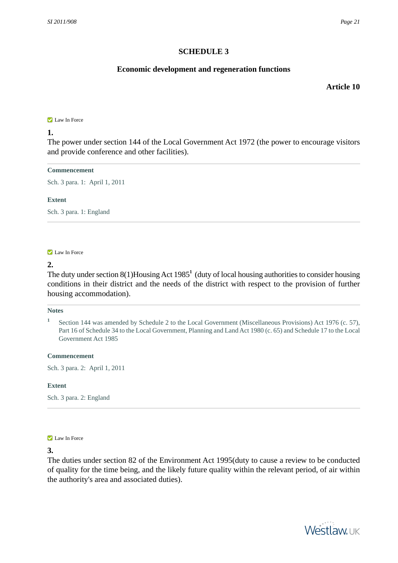# **SCHEDULE 3**

# **Economic development and regeneration functions**

**Article 10**

#### <span id="page-20-0"></span>**Law In Force**

## **1.**

The power under section 144 of the Local Government Act 1972 (the power to encourage visitors and provide conference and other facilities).

#### **Commencement**

Sch. 3 para. 1: April 1, 2011

#### <span id="page-20-1"></span>**Extent**

Sch. 3 para. 1: England

#### **Law In Force**

## **2.**

The duty under section 8(1)Housing Act 1985**<sup>1</sup>** (duty of local housing authorities to consider housing conditions in their district and the needs of the district with respect to the provision of further housing accommodation).

#### **Notes**

#### **Commencement**

<span id="page-20-2"></span>Sch. 3 para. 2: April 1, 2011

#### **Extent**

Sch. 3 para. 2: England

#### **Law In Force**

### **3.**

The duties under section 82 of the Environment Act 1995(duty to cause a review to be conducted of quality for the time being, and the likely future quality within the relevant period, of air within the authority's area and associated duties).



**<sup>1</sup>** Section 144 was amended by Schedule 2 to the Local Government (Miscellaneous Provisions) Act 1976 (c. 57), Part 16 of Schedule 34 to the Local Government, Planning and Land Act 1980 (c. 65) and Schedule 17 to the Local Government Act 1985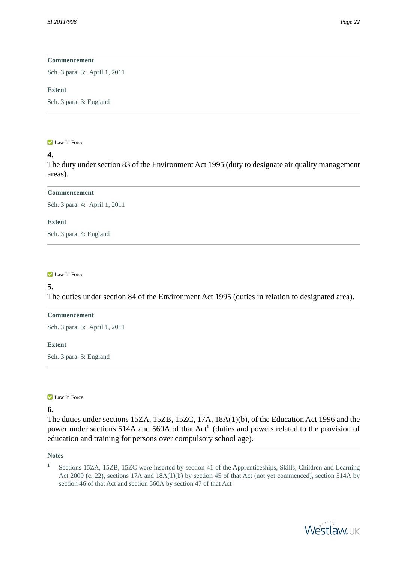Sch. 3 para. 3: April 1, 2011

#### **Extent**

<span id="page-21-0"></span>Sch. 3 para. 3: England

#### **Law In Force**

## **4.**

The duty under section 83 of the Environment Act 1995 (duty to designate air quality management areas).

#### **Commencement**

Sch. 3 para. 4: April 1, 2011

#### <span id="page-21-1"></span>**Extent**

Sch. 3 para. 4: England

## **Law In Force**

## **5.**

The duties under section 84 of the Environment Act 1995 (duties in relation to designated area).

#### **Commencement**

<span id="page-21-2"></span>Sch. 3 para. 5: April 1, 2011

#### **Extent**

Sch. 3 para. 5: England

**Law In Force** 

# **6.**

The duties under sections 15ZA, 15ZB, 15ZC, 17A, 18A(1)(b), of the Education Act 1996 and the power under sections 514A and 560A of that Act<sup>1</sup> (duties and powers related to the provision of education and training for persons over compulsory school age).

#### **Notes**

**1** Sections 15ZA, 15ZB, 15ZC were inserted by section 41 of the Apprenticeships, Skills, Children and Learning Act 2009 (c. 22), sections 17A and 18A(1)(b) by section 45 of that Act (not yet commenced), section 514A by section 46 of that Act and section 560A by section 47 of that Act

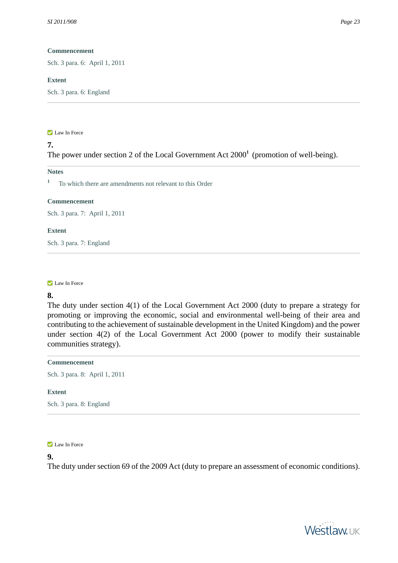Sch. 3 para. 6: April 1, 2011

#### **Extent**

<span id="page-22-0"></span>Sch. 3 para. 6: England

#### **Law In Force**

# The power under section 2 of the Local Government Act 2000**<sup>1</sup>** (promotion of well-being).

## **Notes**

**7.** 

**<sup>1</sup>** To which there are amendments not relevant to this Order

#### **Commencement**

Sch. 3 para. 7: April 1, 2011

#### <span id="page-22-1"></span>**Extent**

Sch. 3 para. 7: England

#### **Law In Force**

## **8.**

The duty under section 4(1) of the Local Government Act 2000 (duty to prepare a strategy for promoting or improving the economic, social and environmental well-being of their area and contributing to the achievement of sustainable development in the United Kingdom) and the power under section 4(2) of the Local Government Act 2000 (power to modify their sustainable communities strategy).

#### **Commencement**

<span id="page-22-2"></span>Sch. 3 para. 8: April 1, 2011

#### **Extent**

Sch. 3 para. 8: England

**Law In Force** 

## **9.**

The duty under section 69 of the 2009 Act (duty to prepare an assessment of economic conditions).

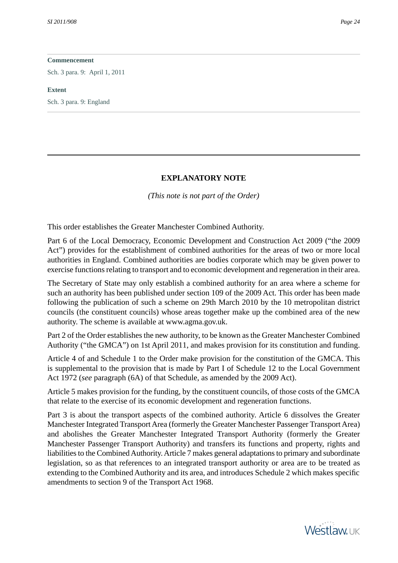Sch. 3 para. 9: April 1, 2011

#### **Extent**

<span id="page-23-0"></span>Sch. 3 para. 9: England

#### **EXPLANATORY NOTE**

*(This note is not part of the Order)*

<span id="page-23-1"></span>This order establishes the Greater Manchester Combined Authority.

Part 6 of the Local Democracy, Economic Development and Construction Act 2009 ("the 2009 Act") provides for the establishment of combined authorities for the areas of two or more local authorities in England. Combined authorities are bodies corporate which may be given power to exercise functions relating to transport and to economic development and regeneration in their area.

The Secretary of State may only establish a combined authority for an area where a scheme for such an authority has been published under section 109 of the 2009 Act. This order has been made following the publication of such a scheme on 29th March 2010 by the 10 metropolitan district councils (the constituent councils) whose areas together make up the combined area of the new authority. The scheme is available at www.agma.gov.uk.

Part 2 of the Order establishes the new authority, to be known as the Greater Manchester Combined Authority ("the GMCA") on 1st April 2011, and makes provision for its constitution and funding.

Article 4 of and Schedule 1 to the Order make provision for the constitution of the GMCA. This is supplemental to the provision that is made by Part I of Schedule 12 to the Local Government Act 1972 (*see* paragraph (6A) of that Schedule, as amended by the 2009 Act).

Article 5 makes provision for the funding, by the constituent councils, of those costs of the GMCA that relate to the exercise of its economic development and regeneration functions.

Part 3 is about the transport aspects of the combined authority. Article 6 dissolves the Greater Manchester Integrated Transport Area (formerly the Greater Manchester Passenger Transport Area) and abolishes the Greater Manchester Integrated Transport Authority (formerly the Greater Manchester Passenger Transport Authority) and transfers its functions and property, rights and liabilities to the Combined Authority. Article 7 makes general adaptations to primary and subordinate legislation, so as that references to an integrated transport authority or area are to be treated as extending to the Combined Authority and its area, and introduces Schedule 2 which makes specific amendments to section 9 of the Transport Act 1968.

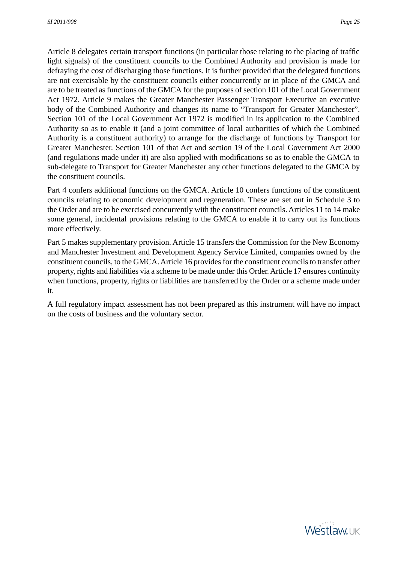Article 8 delegates certain transport functions (in particular those relating to the placing of traffic light signals) of the constituent councils to the Combined Authority and provision is made for defraying the cost of discharging those functions. It is further provided that the delegated functions are not exercisable by the constituent councils either concurrently or in place of the GMCA and are to be treated as functions of the GMCA for the purposes of section 101 of the Local Government Act 1972. Article 9 makes the Greater Manchester Passenger Transport Executive an executive body of the Combined Authority and changes its name to "Transport for Greater Manchester". Section 101 of the Local Government Act 1972 is modified in its application to the Combined Authority so as to enable it (and a joint committee of local authorities of which the Combined Authority is a constituent authority) to arrange for the discharge of functions by Transport for Greater Manchester. Section 101 of that Act and section 19 of the Local Government Act 2000 (and regulations made under it) are also applied with modifications so as to enable the GMCA to sub-delegate to Transport for Greater Manchester any other functions delegated to the GMCA by the constituent councils.

Part 4 confers additional functions on the GMCA. Article 10 confers functions of the constituent councils relating to economic development and regeneration. These are set out in Schedule 3 to the Order and are to be exercised concurrently with the constituent councils. Articles 11 to 14 make some general, incidental provisions relating to the GMCA to enable it to carry out its functions more effectively.

Part 5 makes supplementary provision. Article 15 transfers the Commission for the New Economy and Manchester Investment and Development Agency Service Limited, companies owned by the constituent councils, to the GMCA. Article 16 provides for the constituent councils to transfer other property, rights and liabilities via a scheme to be made under this Order. Article 17 ensures continuity when functions, property, rights or liabilities are transferred by the Order or a scheme made under it.

A full regulatory impact assessment has not been prepared as this instrument will have no impact on the costs of business and the voluntary sector.

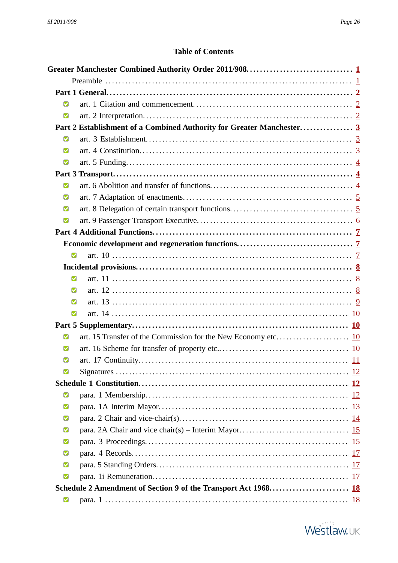# **Table of Contents**

<span id="page-25-0"></span>

| M              |                                                                       |  |
|----------------|-----------------------------------------------------------------------|--|
| Ø              |                                                                       |  |
|                | Part 2 Establishment of a Combined Authority for Greater Manchester 3 |  |
| Ø              |                                                                       |  |
| М              |                                                                       |  |
| $\blacksquare$ |                                                                       |  |
|                |                                                                       |  |
| M              |                                                                       |  |
| M              |                                                                       |  |
| M              |                                                                       |  |
| M              |                                                                       |  |
|                |                                                                       |  |
|                |                                                                       |  |
| Ø              |                                                                       |  |
|                |                                                                       |  |
| $\blacksquare$ |                                                                       |  |
| M              |                                                                       |  |
| М              |                                                                       |  |
| Ø              |                                                                       |  |
|                |                                                                       |  |
| M              |                                                                       |  |
| M              |                                                                       |  |
| Ø              |                                                                       |  |
| M              |                                                                       |  |
|                |                                                                       |  |
| Ø              |                                                                       |  |
| Ø              |                                                                       |  |
| Ø              |                                                                       |  |
| M              |                                                                       |  |
| М              |                                                                       |  |
| M              |                                                                       |  |
| M              |                                                                       |  |
| Ø              |                                                                       |  |
|                |                                                                       |  |
| Ø              |                                                                       |  |